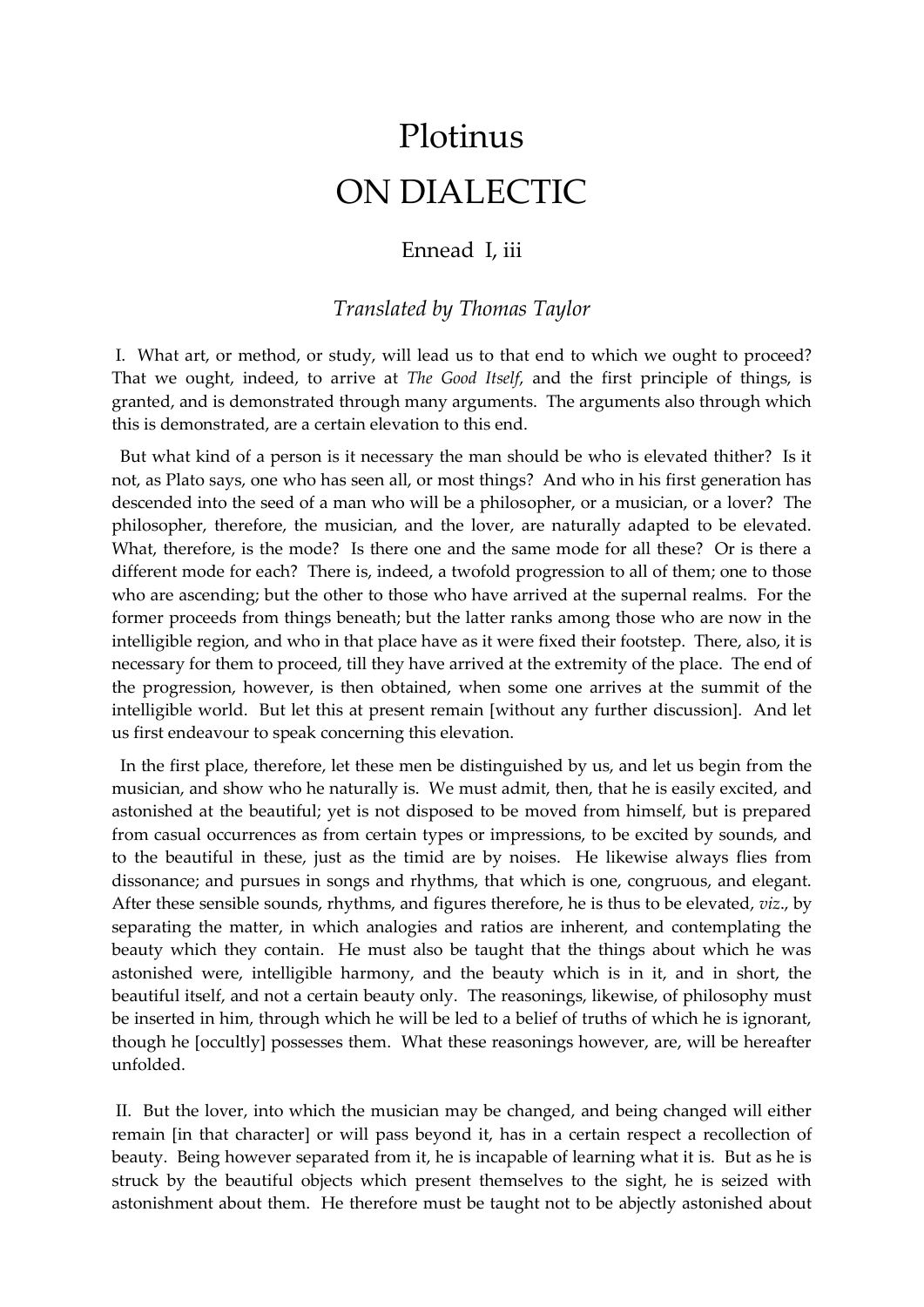## Plotinus ON DIALECTIC

## Ennead I, iii

## *Translated by Thomas Taylor*

I. What art, or method, or study, will lead us to that end to which we ought to proceed? That we ought, indeed, to arrive at *The Good Itself*, and the first principle of things, is granted, and is demonstrated through many arguments. The arguments also through which this is demonstrated, are a certain elevation to this end.

 But what kind of a person is it necessary the man should be who is elevated thither? Is it not, as Plato says, one who has seen all, or most things? And who in his first generation has descended into the seed of a man who will be a philosopher, or a musician, or a lover? The philosopher, therefore, the musician, and the lover, are naturally adapted to be elevated. What, therefore, is the mode? Is there one and the same mode for all these? Or is there a different mode for each? There is, indeed, a twofold progression to all of them; one to those who are ascending; but the other to those who have arrived at the supernal realms. For the former proceeds from things beneath; but the latter ranks among those who are now in the intelligible region, and who in that place have as it were fixed their footstep. There, also, it is necessary for them to proceed, till they have arrived at the extremity of the place. The end of the progression, however, is then obtained, when some one arrives at the summit of the intelligible world. But let this at present remain [without any further discussion]. And let us first endeavour to speak concerning this elevation.

 In the first place, therefore, let these men be distinguished by us, and let us begin from the musician, and show who he naturally is. We must admit, then, that he is easily excited, and astonished at the beautiful; yet is not disposed to be moved from himself, but is prepared from casual occurrences as from certain types or impressions, to be excited by sounds, and to the beautiful in these, just as the timid are by noises. He likewise always flies from dissonance; and pursues in songs and rhythms, that which is one, congruous, and elegant. After these sensible sounds, rhythms, and figures therefore, he is thus to be elevated, *viz*., by separating the matter, in which analogies and ratios are inherent, and contemplating the beauty which they contain. He must also be taught that the things about which he was astonished were, intelligible harmony, and the beauty which is in it, and in short, the beautiful itself, and not a certain beauty only. The reasonings, likewise, of philosophy must be inserted in him, through which he will be led to a belief of truths of which he is ignorant, though he [occultly] possesses them. What these reasonings however, are, will be hereafter unfolded.

II. But the lover, into which the musician may be changed, and being changed will either remain [in that character] or will pass beyond it, has in a certain respect a recollection of beauty. Being however separated from it, he is incapable of learning what it is. But as he is struck by the beautiful objects which present themselves to the sight, he is seized with astonishment about them. He therefore must be taught not to be abjectly astonished about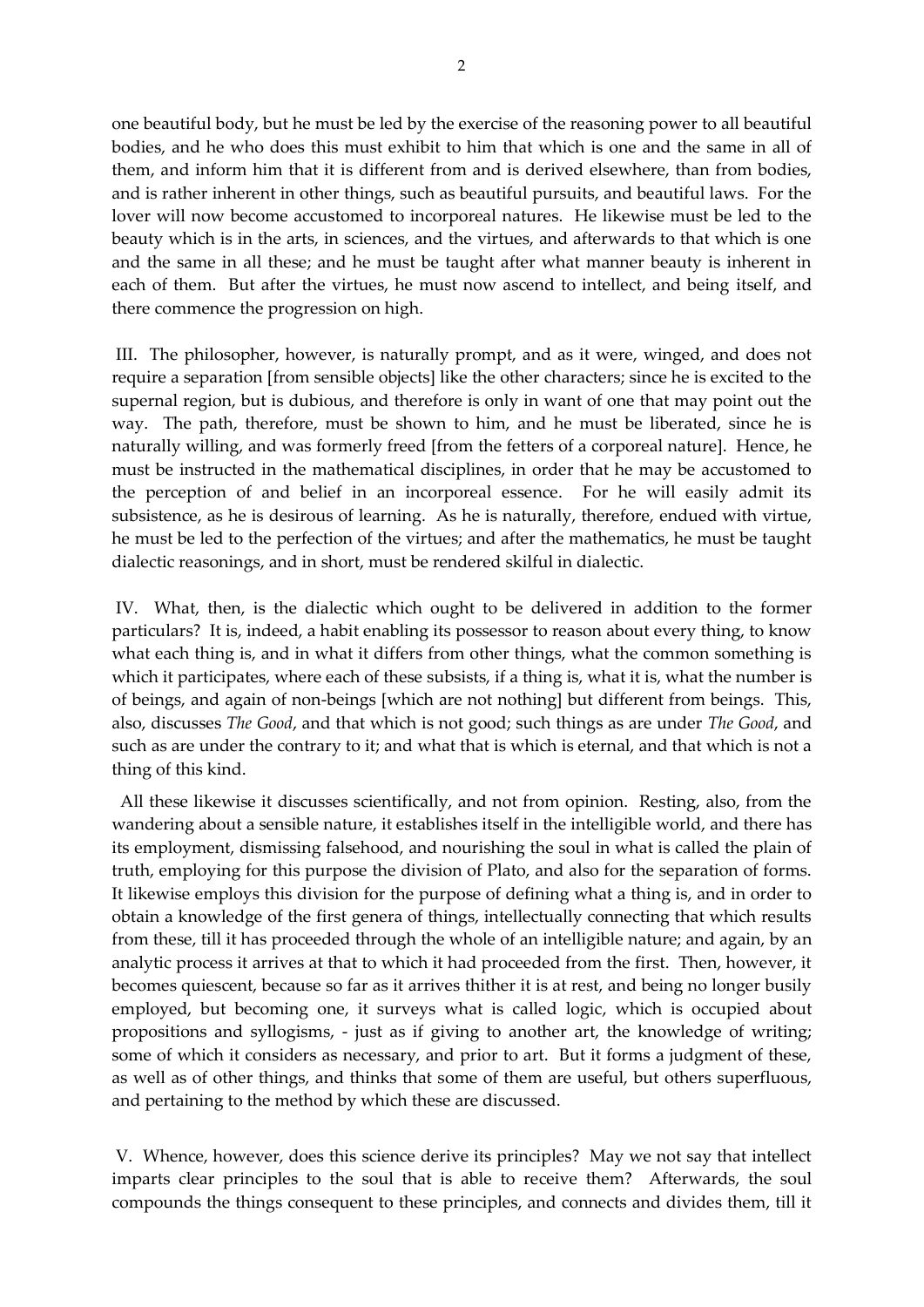one beautiful body, but he must be led by the exercise of the reasoning power to all beautiful bodies, and he who does this must exhibit to him that which is one and the same in all of them, and inform him that it is different from and is derived elsewhere, than from bodies, and is rather inherent in other things, such as beautiful pursuits, and beautiful laws. For the lover will now become accustomed to incorporeal natures. He likewise must be led to the beauty which is in the arts, in sciences, and the virtues, and afterwards to that which is one and the same in all these; and he must be taught after what manner beauty is inherent in each of them. But after the virtues, he must now ascend to intellect, and being itself, and there commence the progression on high.

III. The philosopher, however, is naturally prompt, and as it were, winged, and does not require a separation [from sensible objects] like the other characters; since he is excited to the supernal region, but is dubious, and therefore is only in want of one that may point out the way. The path, therefore, must be shown to him, and he must be liberated, since he is naturally willing, and was formerly freed [from the fetters of a corporeal nature]. Hence, he must be instructed in the mathematical disciplines, in order that he may be accustomed to the perception of and belief in an incorporeal essence. For he will easily admit its subsistence, as he is desirous of learning. As he is naturally, therefore, endued with virtue, he must be led to the perfection of the virtues; and after the mathematics, he must be taught dialectic reasonings, and in short, must be rendered skilful in dialectic.

IV. What, then, is the dialectic which ought to be delivered in addition to the former particulars? It is, indeed, a habit enabling its possessor to reason about every thing, to know what each thing is, and in what it differs from other things, what the common something is which it participates, where each of these subsists, if a thing is, what it is, what the number is of beings, and again of non-beings [which are not nothing] but different from beings. This, also, discusses *The Good*, and that which is not good; such things as are under *The Good*, and such as are under the contrary to it; and what that is which is eternal, and that which is not a thing of this kind.

 All these likewise it discusses scientifically, and not from opinion. Resting, also, from the wandering about a sensible nature, it establishes itself in the intelligible world, and there has its employment, dismissing falsehood, and nourishing the soul in what is called the plain of truth, employing for this purpose the division of Plato, and also for the separation of forms. It likewise employs this division for the purpose of defining what a thing is, and in order to obtain a knowledge of the first genera of things, intellectually connecting that which results from these, till it has proceeded through the whole of an intelligible nature; and again, by an analytic process it arrives at that to which it had proceeded from the first. Then, however, it becomes quiescent, because so far as it arrives thither it is at rest, and being no longer busily employed, but becoming one, it surveys what is called logic, which is occupied about propositions and syllogisms, - just as if giving to another art, the knowledge of writing; some of which it considers as necessary, and prior to art. But it forms a judgment of these, as well as of other things, and thinks that some of them are useful, but others superfluous, and pertaining to the method by which these are discussed.

V. Whence, however, does this science derive its principles? May we not say that intellect imparts clear principles to the soul that is able to receive them? Afterwards, the soul compounds the things consequent to these principles, and connects and divides them, till it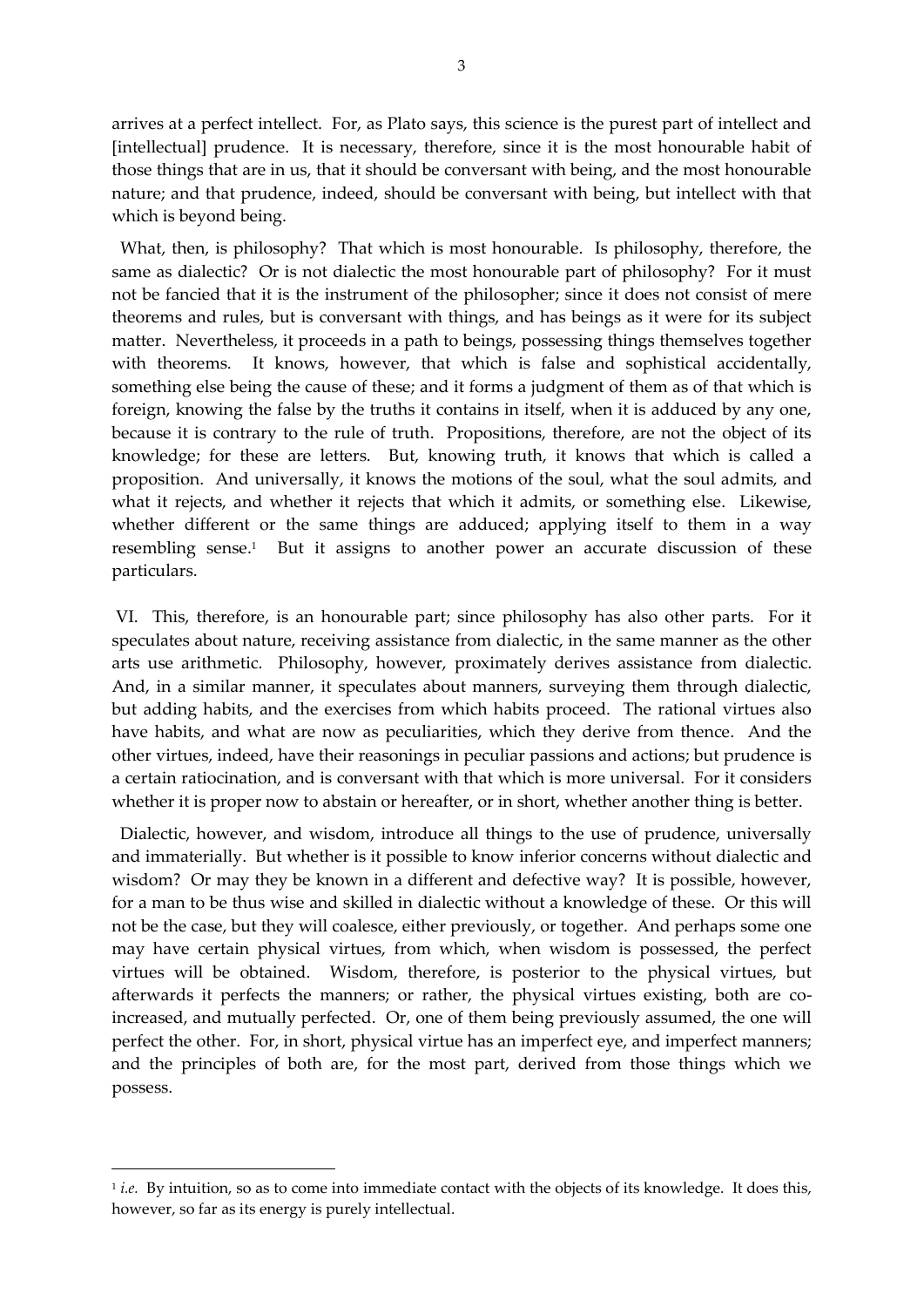arrives at a perfect intellect. For, as Plato says, this science is the purest part of intellect and [intellectual] prudence. It is necessary, therefore, since it is the most honourable habit of those things that are in us, that it should be conversant with being, and the most honourable nature; and that prudence, indeed, should be conversant with being, but intellect with that which is beyond being.

 What, then, is philosophy? That which is most honourable. Is philosophy, therefore, the same as dialectic? Or is not dialectic the most honourable part of philosophy? For it must not be fancied that it is the instrument of the philosopher; since it does not consist of mere theorems and rules, but is conversant with things, and has beings as it were for its subject matter. Nevertheless, it proceeds in a path to beings, possessing things themselves together with theorems. It knows, however, that which is false and sophistical accidentally, something else being the cause of these; and it forms a judgment of them as of that which is foreign, knowing the false by the truths it contains in itself, when it is adduced by any one, because it is contrary to the rule of truth. Propositions, therefore, are not the object of its knowledge; for these are letters. But, knowing truth, it knows that which is called a proposition. And universally, it knows the motions of the soul, what the soul admits, and what it rejects, and whether it rejects that which it admits, or something else. Likewise, whether different or the same things are adduced; applying itself to them in a way resembling sense.<sup>1</sup> But it assigns to another power an accurate discussion of these particulars.

VI. This, therefore, is an honourable part; since philosophy has also other parts. For it speculates about nature, receiving assistance from dialectic, in the same manner as the other arts use arithmetic. Philosophy, however, proximately derives assistance from dialectic. And, in a similar manner, it speculates about manners, surveying them through dialectic, but adding habits, and the exercises from which habits proceed. The rational virtues also have habits, and what are now as peculiarities, which they derive from thence. And the other virtues, indeed, have their reasonings in peculiar passions and actions; but prudence is a certain ratiocination, and is conversant with that which is more universal. For it considers whether it is proper now to abstain or hereafter, or in short, whether another thing is better.

 Dialectic, however, and wisdom, introduce all things to the use of prudence, universally and immaterially. But whether is it possible to know inferior concerns without dialectic and wisdom? Or may they be known in a different and defective way? It is possible, however, for a man to be thus wise and skilled in dialectic without a knowledge of these. Or this will not be the case, but they will coalesce, either previously, or together. And perhaps some one may have certain physical virtues, from which, when wisdom is possessed, the perfect virtues will be obtained. Wisdom, therefore, is posterior to the physical virtues, but afterwards it perfects the manners; or rather, the physical virtues existing, both are coincreased, and mutually perfected. Or, one of them being previously assumed, the one will perfect the other. For, in short, physical virtue has an imperfect eye, and imperfect manners; and the principles of both are, for the most part, derived from those things which we possess.

-

<sup>1</sup> *i.e.* By intuition, so as to come into immediate contact with the objects of its knowledge. It does this, however, so far as its energy is purely intellectual.